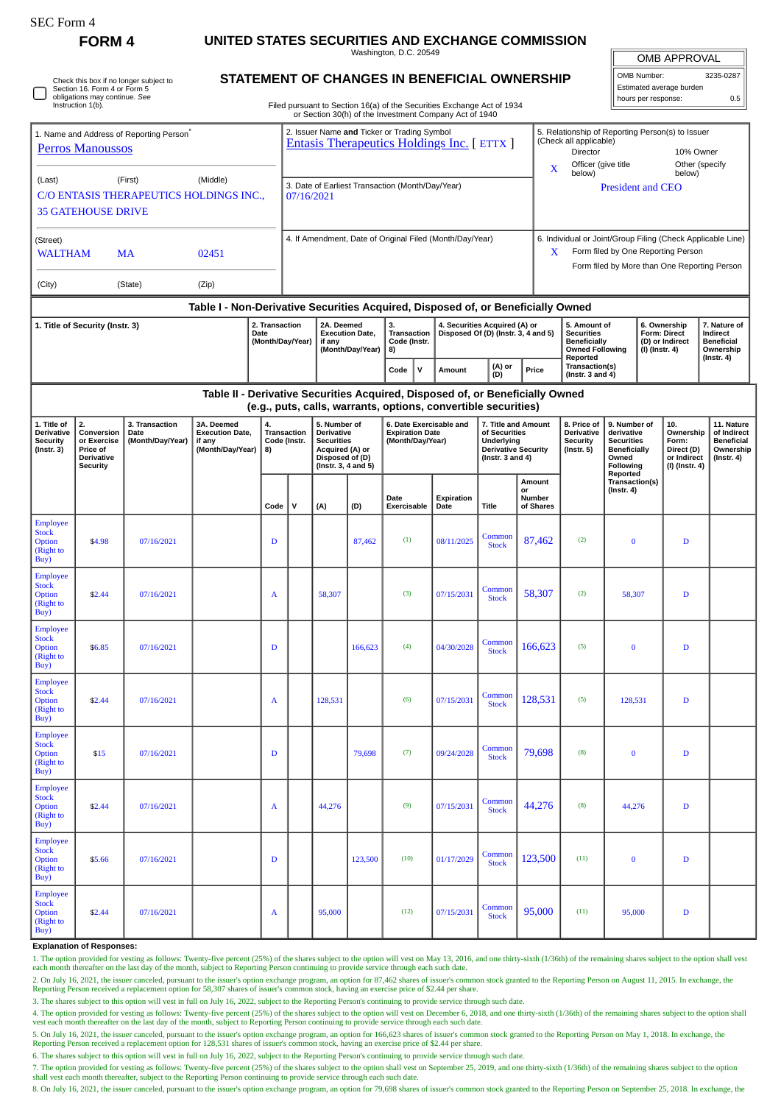| SEC Form 4                                                                                                                   | <b>FORM4</b>                                                                  |                          |                                                                                  |                                                                                        |                                                                                                                               |                                                                                                     |                                         | UNITED STATES SECURITIES AND EXCHANGE COMMISSION                                                                                                |                                                                      |                                                                                    |                                                                                                                                                         |                                                                                                     |                                                                                    |                                                                   |                                                                   |                  |  |  |
|------------------------------------------------------------------------------------------------------------------------------|-------------------------------------------------------------------------------|--------------------------|----------------------------------------------------------------------------------|----------------------------------------------------------------------------------------|-------------------------------------------------------------------------------------------------------------------------------|-----------------------------------------------------------------------------------------------------|-----------------------------------------|-------------------------------------------------------------------------------------------------------------------------------------------------|----------------------------------------------------------------------|------------------------------------------------------------------------------------|---------------------------------------------------------------------------------------------------------------------------------------------------------|-----------------------------------------------------------------------------------------------------|------------------------------------------------------------------------------------|-------------------------------------------------------------------|-------------------------------------------------------------------|------------------|--|--|
|                                                                                                                              |                                                                               |                          |                                                                                  | Washington, D.C. 20549                                                                 |                                                                                                                               |                                                                                                     |                                         |                                                                                                                                                 |                                                                      |                                                                                    |                                                                                                                                                         |                                                                                                     | <b>OMB APPROVAL</b>                                                                |                                                                   |                                                                   |                  |  |  |
| Check this box if no longer subject to<br>Section 16. Form 4 or Form 5<br>obligations may continue. See<br>Instruction 1(b). |                                                                               |                          |                                                                                  |                                                                                        | <b>STATEMENT OF CHANGES IN BENEFICIAL OWNERSHIP</b><br>Filed pursuant to Section 16(a) of the Securities Exchange Act of 1934 |                                                                                                     |                                         |                                                                                                                                                 |                                                                      |                                                                                    |                                                                                                                                                         |                                                                                                     | OMB Number:<br>3235-0287<br>Estimated average burden<br>hours per response:<br>0.5 |                                                                   |                                                                   |                  |  |  |
|                                                                                                                              |                                                                               |                          |                                                                                  |                                                                                        |                                                                                                                               |                                                                                                     |                                         | or Section 30(h) of the Investment Company Act of 1940                                                                                          |                                                                      |                                                                                    |                                                                                                                                                         |                                                                                                     |                                                                                    |                                                                   |                                                                   |                  |  |  |
| 1. Name and Address of Reporting Person <sup>®</sup><br><b>Perros Manoussos</b>                                              |                                                                               |                          |                                                                                  |                                                                                        | 2. Issuer Name and Ticker or Trading Symbol<br>Entasis Therapeutics Holdings Inc. [ETTX ]                                     |                                                                                                     |                                         |                                                                                                                                                 |                                                                      |                                                                                    |                                                                                                                                                         | 5. Relationship of Reporting Person(s) to Issuer<br>(Check all applicable)<br>Director<br>10% Owner |                                                                                    |                                                                   |                                                                   |                  |  |  |
| (Middle)<br>(Last)<br>(First)                                                                                                |                                                                               |                          |                                                                                  |                                                                                        |                                                                                                                               |                                                                                                     |                                         |                                                                                                                                                 |                                                                      |                                                                                    |                                                                                                                                                         | Officer (give title<br>Other (specify<br>X<br>below)<br>below)                                      |                                                                                    |                                                                   |                                                                   |                  |  |  |
| C/O ENTASIS THERAPEUTICS HOLDINGS INC.,<br><b>35 GATEHOUSE DRIVE</b>                                                         |                                                                               |                          |                                                                                  |                                                                                        | 3. Date of Earliest Transaction (Month/Day/Year)<br>07/16/2021                                                                |                                                                                                     |                                         |                                                                                                                                                 |                                                                      |                                                                                    |                                                                                                                                                         | <b>President and CEO</b>                                                                            |                                                                                    |                                                                   |                                                                   |                  |  |  |
| (Street)<br><b>WALTHAM</b><br>02451<br>MA                                                                                    |                                                                               |                          |                                                                                  | 4. If Amendment, Date of Original Filed (Month/Day/Year)                               |                                                                                                                               |                                                                                                     |                                         |                                                                                                                                                 |                                                                      |                                                                                    | 6. Individual or Joint/Group Filing (Check Applicable Line)<br>Form filed by One Reporting Person<br>X.<br>Form filed by More than One Reporting Person |                                                                                                     |                                                                                    |                                                                   |                                                                   |                  |  |  |
| (Zip)<br>(City)<br>(State)                                                                                                   |                                                                               |                          |                                                                                  |                                                                                        |                                                                                                                               |                                                                                                     |                                         |                                                                                                                                                 |                                                                      |                                                                                    |                                                                                                                                                         |                                                                                                     |                                                                                    |                                                                   |                                                                   |                  |  |  |
|                                                                                                                              |                                                                               |                          | Table I - Non-Derivative Securities Acquired, Disposed of, or Beneficially Owned |                                                                                        |                                                                                                                               |                                                                                                     |                                         |                                                                                                                                                 |                                                                      |                                                                                    |                                                                                                                                                         |                                                                                                     |                                                                                    |                                                                   |                                                                   |                  |  |  |
| 2. Transaction<br>1. Title of Security (Instr. 3)<br>Date                                                                    |                                                                               |                          |                                                                                  | 2A. Deemed<br><b>Execution Date,</b><br>(Month/Day/Year)<br>if any<br>(Month/Day/Year) |                                                                                                                               |                                                                                                     | 3.<br>Transaction<br>Code (Instr.<br>8) |                                                                                                                                                 | 4. Securities Acquired (A) or<br>Disposed Of (D) (Instr. 3, 4 and 5) |                                                                                    | 5. Amount of<br><b>Securities</b><br><b>Beneficially</b><br><b>Owned Following</b>                                                                      |                                                                                                     | 6. Ownership<br><b>Form: Direct</b><br>(D) or Indirect<br>(I) (Instr. 4)           |                                                                   | 7. Nature of<br>Indirect<br><b>Beneficial</b><br>Ownership        |                  |  |  |
|                                                                                                                              |                                                                               |                          |                                                                                  |                                                                                        |                                                                                                                               |                                                                                                     |                                         | $\mathsf{v}$<br>Code                                                                                                                            | Amount                                                               | (A) or<br>(D)                                                                      | Price                                                                                                                                                   | Reported<br>Transaction(s)<br>(Instr. $3$ and $4$ )                                                 |                                                                                    |                                                                   |                                                                   | $($ Instr. 4 $)$ |  |  |
|                                                                                                                              |                                                                               |                          |                                                                                  |                                                                                        |                                                                                                                               |                                                                                                     |                                         | Table II - Derivative Securities Acquired, Disposed of, or Beneficially Owned<br>(e.g., puts, calls, warrants, options, convertible securities) |                                                                      |                                                                                    |                                                                                                                                                         |                                                                                                     |                                                                                    |                                                                   |                                                                   |                  |  |  |
| 1. Title of                                                                                                                  | 2.                                                                            | 3. Transaction           | 3A. Deemed                                                                       | 4.                                                                                     |                                                                                                                               | 5. Number of                                                                                        |                                         | 6. Date Exercisable and                                                                                                                         |                                                                      | 7. Title and Amount                                                                |                                                                                                                                                         | 8. Price of                                                                                         | 9. Number of                                                                       |                                                                   | 10.                                                               | 11. Nature       |  |  |
| <b>Derivative</b><br><b>Security</b><br>(Instr. 3)                                                                           | Conversion<br>or Exercise<br>Price of<br><b>Derivative</b><br><b>Security</b> | Date<br>(Month/Day/Year) | <b>Execution Date,</b><br>if any<br>(Month/Day/Year)                             | 8)                                                                                     | <b>Transaction</b><br>Code (Instr.                                                                                            | <b>Derivative</b><br><b>Securities</b><br>Acquired (A) or<br>Disposed of (D)<br>(Instr. 3, 4 and 5) |                                         | <b>Expiration Date</b><br>(Month/Day/Year)                                                                                                      |                                                                      | of Securities<br>Underlying<br><b>Derivative Security</b><br>(Instr. $3$ and $4$ ) |                                                                                                                                                         | Derivative<br><b>Security</b><br>(Instr. 5)                                                         | derivative<br><b>Securities</b><br><b>Beneficially</b><br>Owned<br>Following       | Ownership<br>Form:<br>Direct (D)<br>or Indirect<br>(I) (Instr. 4) | of Indirect<br><b>Beneficial</b><br>Ownership<br>$($ Instr. 4 $)$ |                  |  |  |
|                                                                                                                              |                                                                               |                          |                                                                                  | Code                                                                                   | v                                                                                                                             | (A)                                                                                                 | (D)                                     | Date<br>Exercisable                                                                                                                             | Expiration<br>Date                                                   | <b>Title</b>                                                                       | Amount<br>or<br>Number<br>of Shares                                                                                                                     |                                                                                                     | Reported<br>Transaction(s)<br>(Instr. 4)                                           |                                                                   |                                                                   |                  |  |  |
| <b>Employee</b><br><b>Stock</b><br><b>Option</b><br>(Right to<br>Buy)                                                        | \$4.98                                                                        | 07/16/2021               |                                                                                  | D                                                                                      |                                                                                                                               |                                                                                                     | 87,462                                  | (1)                                                                                                                                             | 08/11/2025                                                           | Common<br><b>Stock</b>                                                             | 87,462                                                                                                                                                  | (2)                                                                                                 | $\bf{0}$                                                                           |                                                                   | D                                                                 |                  |  |  |
| <b>Employee</b><br><b>Stock</b><br>Option<br>(Right to<br>Buy)                                                               | \$2.44                                                                        | 07/16/2021               |                                                                                  | A                                                                                      |                                                                                                                               | 58,307                                                                                              |                                         | (3)                                                                                                                                             | 07/15/2031                                                           | Common<br>Stock                                                                    | 58,307                                                                                                                                                  | (2)                                                                                                 | 58,307                                                                             |                                                                   | D                                                                 |                  |  |  |
| <b>Employee</b><br><b>Stock</b><br>Option<br>(Right to<br>Buy)                                                               | \$6.85                                                                        | 07/16/2021               |                                                                                  | $\mathbf D$                                                                            |                                                                                                                               |                                                                                                     | 166,623                                 | (4)                                                                                                                                             | 04/30/2028                                                           | Common<br><b>Stock</b>                                                             | 166,623                                                                                                                                                 | (5)                                                                                                 | $\bf{0}$                                                                           |                                                                   | $\mathbf D$                                                       |                  |  |  |
| <b>Employee</b><br><b>Stock</b><br><b>Option</b><br>(Right to<br>Buy)                                                        | \$2.44                                                                        | 07/16/2021               |                                                                                  | A                                                                                      |                                                                                                                               | 128,531                                                                                             |                                         | (6)                                                                                                                                             | 07/15/2031                                                           | Common<br><b>Stock</b>                                                             | 128,531                                                                                                                                                 | (5)                                                                                                 | 128,531                                                                            |                                                                   | $\mathbf D$                                                       |                  |  |  |
| <b>Employee</b><br><b>Stock</b><br>Option<br>(Right to<br>Buy)                                                               | \$15                                                                          | 07/16/2021               |                                                                                  | $\mathbf D$                                                                            |                                                                                                                               |                                                                                                     | 79,698                                  | (7)                                                                                                                                             | 09/24/2028                                                           | Common<br><b>Stock</b>                                                             | 79,698                                                                                                                                                  | (8)                                                                                                 | $\bf{0}$                                                                           |                                                                   | D                                                                 |                  |  |  |
| <b>Employee</b><br><b>Stock</b><br>Option<br>(Right to<br>Buy)                                                               | \$2.44                                                                        | 07/16/2021               |                                                                                  | A                                                                                      |                                                                                                                               | 44,276                                                                                              |                                         | (9)                                                                                                                                             | 07/15/2031                                                           | Common<br><b>Stock</b>                                                             | 44,276                                                                                                                                                  | (8)                                                                                                 | 44,276                                                                             |                                                                   | $\mathbf D$                                                       |                  |  |  |
| <b>Employee</b><br><b>Stock</b><br>Option<br>(Right to<br>Buy)                                                               | \$5.66                                                                        | 07/16/2021               |                                                                                  | D                                                                                      |                                                                                                                               |                                                                                                     | 123,500                                 | (10)                                                                                                                                            | 01/17/2029                                                           | Common<br><b>Stock</b>                                                             | 123,500                                                                                                                                                 | (11)                                                                                                | $\bf{0}$                                                                           |                                                                   | $\mathbf D$                                                       |                  |  |  |
| <b>Employee</b><br><b>Stock</b><br>Option<br>(Right to<br>Buy)                                                               | \$2.44                                                                        | 07/16/2021               |                                                                                  | A                                                                                      |                                                                                                                               | 95,000                                                                                              |                                         | (12)                                                                                                                                            | 07/15/2031                                                           | Common<br><b>Stock</b>                                                             | 95,000                                                                                                                                                  | (11)                                                                                                | 95,000                                                                             |                                                                   | D                                                                 |                  |  |  |

## **Explanation of Responses:**

1. The option provided for vesting as follows: Twenty-five percent (25%) of the shares subject to the option will vest on May 13, 2016, and one thirty-sixth (1/36th) of the remaining shares subject to the option shall vest

2. On July 16, 2021, the issuer canceled, pursuant to the issuer's option exchange program, an option for 87,462 shares of issuer's common stock granted to the Reporting Person on August 11, 2015. In exchange, the Reporting Person received a replacement option for 58,307 shares of issuer's common stock, having an exercise price of \$2.44 per share.

3. The shares subject to this option will vest in full on July 16, 2022, subject to the Reporting Person's continuing to provide service through such date.

4. The option provided for vesting as follows: Twenty-five percent (25%) of the shares subject to the option will vest on December 6, 2018, and one thirty-sixth (1/36th) of the remaining shares subject to the option shall<br>

5. On July 16, 2021, the issuer canceled, pursuant to the issuer's option exchange program, an option for 166,623 shares of issuer's common stock granted to the Reporting Person on May 1, 2018. In exchange, the Reporting Person received a replacement option for 128,531 shares of issuer's common stock, having an exercise price of \$2.44 per share.

6. The shares subject to this option will vest in full on July 16, 2022, subject to the Reporting Person's continuing to provide service through such date.

7. The option provided for vesting as follows: Twenty-five percent (25%) of the shares subject to the option shall vest on September 25, 2019, and one thirty-sixth (1/36th) of the remaining shares subject to the option shall vest each month thereafter, subject to the Reporting Person continuing to provide service through each such date. 8. On July 16, 2021, the issuer canceled, pursuant to the issuer's option exchange program, an option for 79,698 shares of issuer's common stock granted to the Reporting Person on September 25, 2018. In exchange, the